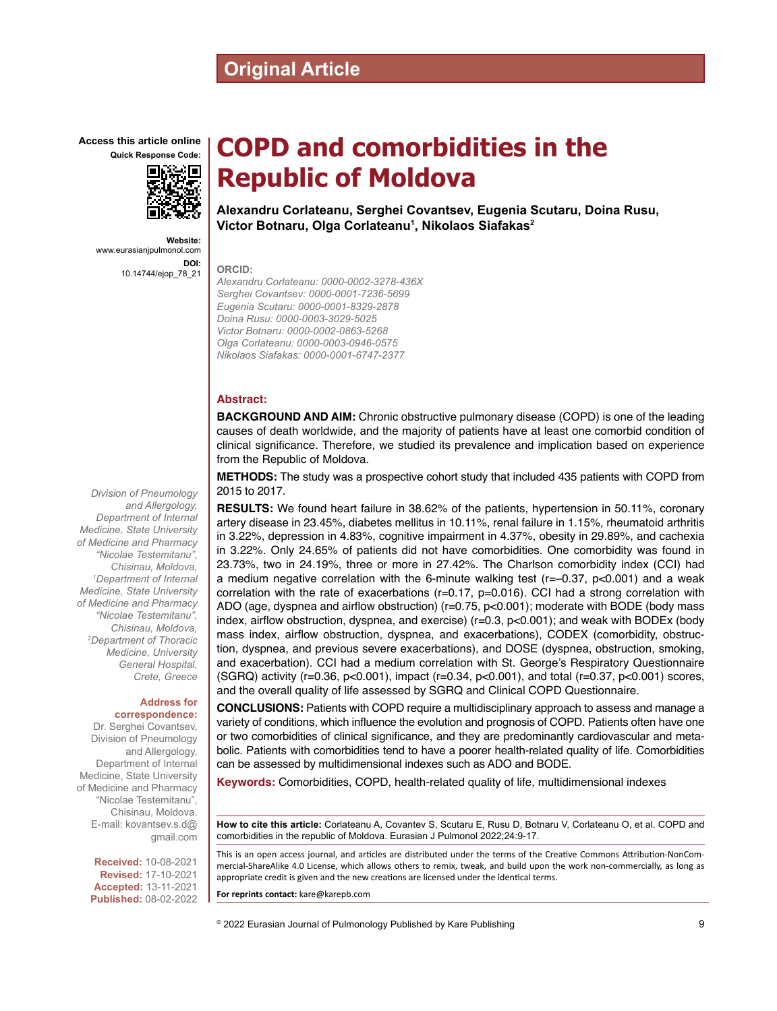# **Original Article**

**Access this article online**



**Website:** www.eurasianjpulmonol.com **DOI:** 10.14744/ejop\_78\_21

# *Division of Pneumology and Allergology, Department of Internal Medicine, State University of Medicine and Pharmacy "Nicolae Testemitanu", Chisinau, Moldova, 1 Department of Internal Medicine, State University of Medicine and Pharmacy "Nicolae Testemitanu", Chisinau, Moldova, 2 Department of Thoracic Medicine, University General Hospital, Crete, Greece*

#### **Address for correspondence:**

Dr. Serghei Covantsev, Division of Pneumology and Allergology, Department of Internal Medicine, State University of Medicine and Pharmacy "Nicolae Testemitanu", Chisinau, Moldova. E-mail: kovantsev.s.d@ gmail.com

> **Received:** 10-08-2021 **Revised:** 17-10-2021 **Accepted:** 13-11-2021 **Published:** 08-02-2022

# **COPD and comorbidities in the Republic of Moldova**

**Alexandru Corlateanu, Serghei Covantsev, Eugenia Scutaru, Doina Rusu, Victor Botnaru, Olga Corlateanu1 , Nikolaos Siafakas2**

**ORCID:**

*Alexandru Corlateanu: 0000-0002-3278-436X Serghei Covantsev: 0000-0001-7236-5699 Eugenia Scutaru: 0000-0001-8329-2878 Doina Rusu: 0000-0003-3029-5025 Victor Botnaru: 0000-0002-0863-5268 Olga Corlateanu: 0000-0003-0946-0575 Nikolaos Siafakas: 0000-0001-6747-2377*

#### **Abstract:**

**BACKGROUND AND AIM:** Chronic obstructive pulmonary disease (COPD) is one of the leading causes of death worldwide, and the majority of patients have at least one comorbid condition of clinical significance. Therefore, we studied its prevalence and implication based on experience from the Republic of Moldova.

**METHODS:** The study was a prospective cohort study that included 435 patients with COPD from 2015 to 2017.

**RESULTS:** We found heart failure in 38.62% of the patients, hypertension in 50.11%, coronary artery disease in 23.45%, diabetes mellitus in 10.11%, renal failure in 1.15%, rheumatoid arthritis in 3.22%, depression in 4.83%, cognitive impairment in 4.37%, obesity in 29.89%, and cachexia in 3.22%. Only 24.65% of patients did not have comorbidities. One comorbidity was found in 23.73%, two in 24.19%, three or more in 27.42%. The Charlson comorbidity index (CCI) had a medium negative correlation with the 6-minute walking test ( $r=-0.37$ ,  $p<0.001$ ) and a weak correlation with the rate of exacerbations (r=0.17, p=0.016). CCI had a strong correlation with ADO (age, dyspnea and airflow obstruction) (r=0.75, p<0.001); moderate with BODE (body mass index, airflow obstruction, dyspnea, and exercise) (r=0.3, p<0.001); and weak with BODEx (body mass index, airflow obstruction, dyspnea, and exacerbations), CODEX (comorbidity, obstruction, dyspnea, and previous severe exacerbations), and DOSE (dyspnea, obstruction, smoking, and exacerbation). CCI had a medium correlation with St. George's Respiratory Questionnaire (SGRQ) activity (r=0.36, p<0.001), impact (r=0.34, p<0.001), and total (r=0.37, p<0.001) scores, and the overall quality of life assessed by SGRQ and Clinical COPD Questionnaire.

**CONCLUSIONS:** Patients with COPD require a multidisciplinary approach to assess and manage a variety of conditions, which influence the evolution and prognosis of COPD. Patients often have one or two comorbidities of clinical significance, and they are predominantly cardiovascular and metabolic. Patients with comorbidities tend to have a poorer health-related quality of life. Comorbidities can be assessed by multidimensional indexes such as ADO and BODE.

**Keywords:** Comorbidities, COPD, health-related quality of life, multidimensional indexes

**How to cite this article:** Corlateanu A, Covantev S, Scutaru E, Rusu D, Botnaru V, Corlateanu O, et al. COPD and comorbidities in the republic of Moldova. Eurasian J Pulmonol 2022;24:9-17.

This is an open access journal, and articles are distributed under the terms of the Creative Commons Attribution-NonCommercial‑ShareAlike 4.0 License, which allows others to remix, tweak, and build upon the work non‑commercially, as long as appropriate credit is given and the new creations are licensed under the identical terms.

**For reprints contact:** kare@karepb.com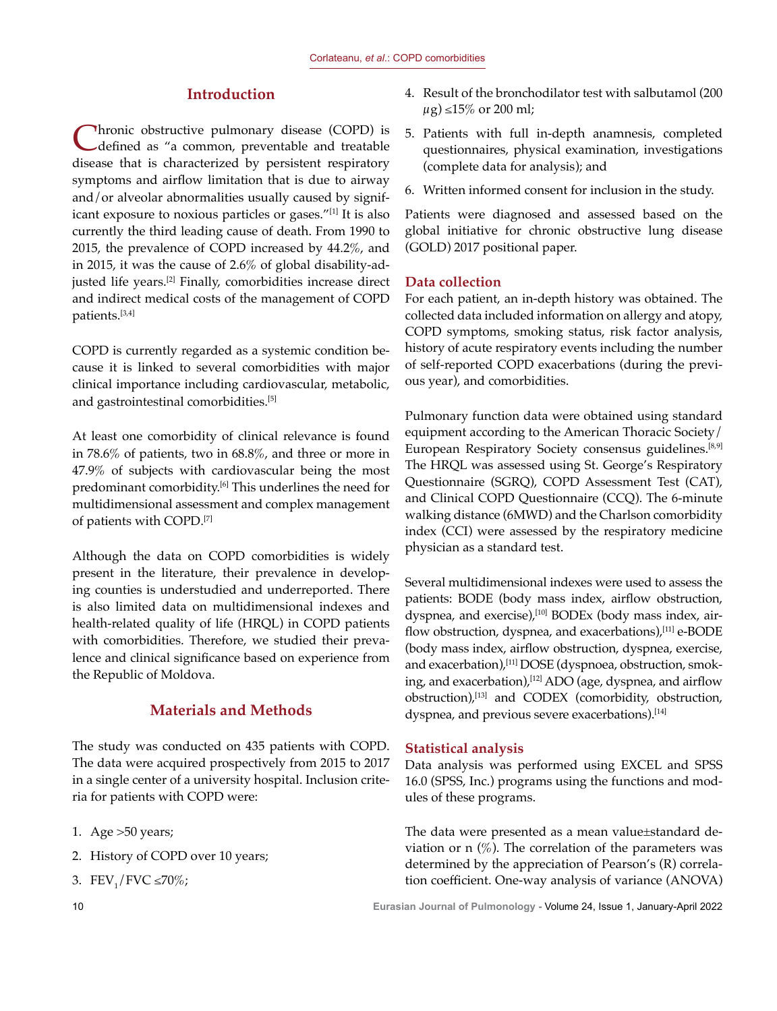# **Introduction**

Chronic obstructive pulmonary disease (COPD) is defined as "a common, preventable and treatable disease that is characterized by persistent respiratory symptoms and airflow limitation that is due to airway and/or alveolar abnormalities usually caused by significant exposure to noxious particles or gases."[1] It is also currently the third leading cause of death. From 1990 to 2015, the prevalence of COPD increased by 44.2%, and in 2015, it was the cause of 2.6% of global disability-adjusted life years.<sup>[2]</sup> Finally, comorbidities increase direct and indirect medical costs of the management of COPD patients.[3,4]

COPD is currently regarded as a systemic condition because it is linked to several comorbidities with major clinical importance including cardiovascular, metabolic, and gastrointestinal comorbidities.<sup>[5]</sup>

At least one comorbidity of clinical relevance is found in 78.6% of patients, two in 68.8%, and three or more in 47.9% of subjects with cardiovascular being the most predominant comorbidity.<sup>[6]</sup> This underlines the need for multidimensional assessment and complex management of patients with COPD.[7]

Although the data on COPD comorbidities is widely present in the literature, their prevalence in developing counties is understudied and underreported. There is also limited data on multidimensional indexes and health-related quality of life (HRQL) in COPD patients with comorbidities. Therefore, we studied their prevalence and clinical significance based on experience from the Republic of Moldova.

# **Materials and Methods**

The study was conducted on 435 patients with COPD. The data were acquired prospectively from 2015 to 2017 in a single center of a university hospital. Inclusion criteria for patients with COPD were:

- 1. Age >50 years;
- 2. History of COPD over 10 years;
- 3.  $FEV_1/FVC \le 70\%$ ;
- 5. Patients with full in-depth anamnesis, completed questionnaires, physical examination, investigations (complete data for analysis); and
- 6. Written informed consent for inclusion in the study.

Patients were diagnosed and assessed based on the global initiative for chronic obstructive lung disease (GOLD) 2017 positional paper.

#### **Data collection**

For each patient, an in-depth history was obtained. The collected data included information on allergy and atopy, COPD symptoms, smoking status, risk factor analysis, history of acute respiratory events including the number of self-reported COPD exacerbations (during the previous year), and comorbidities.

Pulmonary function data were obtained using standard equipment according to the American Thoracic Society/ European Respiratory Society consensus guidelines.[8,9] The HRQL was assessed using St. George's Respiratory Questionnaire (SGRQ), COPD Assessment Test (CAT), and Clinical COPD Questionnaire (CCQ). The 6-minute walking distance (6MWD) and the Charlson comorbidity index (CCI) were assessed by the respiratory medicine physician as a standard test.

Several multidimensional indexes were used to assess the patients: BODE (body mass index, airflow obstruction, dyspnea, and exercise),<sup>[10]</sup> BODEx (body mass index, airflow obstruction, dyspnea, and exacerbations),<sup>[11]</sup> e-BODE (body mass index, airflow obstruction, dyspnea, exercise, and exacerbation),[11] DOSE (dyspnoea, obstruction, smoking, and exacerbation),<sup>[12]</sup> ADO (age, dyspnea, and airflow obstruction),[13] and CODEX (comorbidity, obstruction, dyspnea, and previous severe exacerbations).<sup>[14]</sup>

#### **Statistical analysis**

Data analysis was performed using EXCEL and SPSS 16.0 (SPSS, Inc.) programs using the functions and modules of these programs.

The data were presented as a mean value±standard deviation or n  $(\%)$ . The correlation of the parameters was determined by the appreciation of Pearson's (R) correlation coefficient. One-way analysis of variance (ANOVA)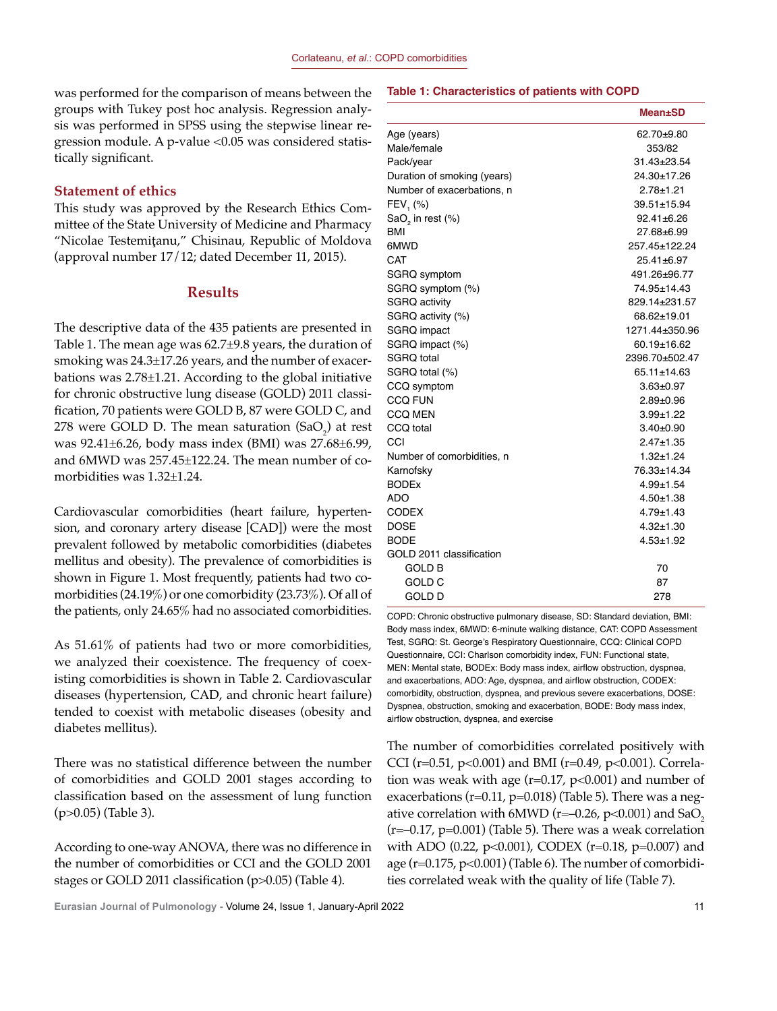was performed for the comparison of means between the groups with Tukey post hoc analysis. Regression analysis was performed in SPSS using the stepwise linear regression module. A p-value <0.05 was considered statistically significant.

#### **Statement of ethics**

This study was approved by the Research Ethics Committee of the State University of Medicine and Pharmacy "Nicolae Testemiţanu," Chisinau, Republic of Moldova (approval number 17/12; dated December 11, 2015).

#### **Results**

The descriptive data of the 435 patients are presented in Table 1. The mean age was 62.7±9.8 years, the duration of smoking was 24.3±17.26 years, and the number of exacerbations was 2.78±1.21. According to the global initiative for chronic obstructive lung disease (GOLD) 2011 classification, 70 patients were GOLD B, 87 were GOLD C, and 278 were GOLD D. The mean saturation  $(SaO<sub>2</sub>)$  at rest was 92.41±6.26, body mass index (BMI) was 27.68±6.99, and 6MWD was 257.45±122.24. The mean number of comorbidities was 1.32±1.24.

Cardiovascular comorbidities (heart failure, hypertension, and coronary artery disease [CAD]) were the most prevalent followed by metabolic comorbidities (diabetes mellitus and obesity). The prevalence of comorbidities is shown in Figure 1. Most frequently, patients had two comorbidities (24.19%) or one comorbidity (23.73%). Of all of the patients, only 24.65% had no associated comorbidities.

As 51.61% of patients had two or more comorbidities, we analyzed their coexistence. The frequency of coexisting comorbidities is shown in Table 2. Cardiovascular diseases (hypertension, CAD, and chronic heart failure) tended to coexist with metabolic diseases (obesity and diabetes mellitus).

There was no statistical difference between the number of comorbidities and GOLD 2001 stages according to classification based on the assessment of lung function (p>0.05) (Table 3).

According to one-way ANOVA, there was no difference in the number of comorbidities or CCI and the GOLD 2001 stages or GOLD 2011 classification (p>0.05) (Table 4).

#### **Table 1: Characteristics of patients with COPD**

|                             | <b>Mean</b> ±SD  |
|-----------------------------|------------------|
| Age (years)                 | 62.70±9.80       |
| Male/female                 | 353/82           |
| Pack/year                   | 31.43±23.54      |
| Duration of smoking (years) | 24.30±17.26      |
| Number of exacerbations, n  | $2.78 + 1.21$    |
| $FEV, (*)$                  | 39.51±15.94      |
| $SaO2$ in rest (%)          | $92.41 \pm 6.26$ |
| BMI                         | 27.68±6.99       |
| 6MWD                        | 257.45±122.24    |
| CAT                         | 25.41±6.97       |
| SGRQ symptom                | 491.26±96.77     |
| SGRQ symptom (%)            | 74.95±14.43      |
| <b>SGRQ activity</b>        | 829.14±231.57    |
| SGRQ activity (%)           | 68.62±19.01      |
| SGRQ impact                 | 1271 44±350 96   |
| SGRQ impact (%)             | 60.19±16.62      |
| SGRQ total                  | 2396.70±502.47   |
| SGRQ total (%)              | 65.11±14.63      |
| CCQ symptom                 | $3.63 + 0.97$    |
| <b>CCQ FUN</b>              | $2.89 + 0.96$    |
| <b>CCQ MEN</b>              | $3.99 + 1.22$    |
| CCQ total                   | $3.40 + 0.90$    |
| CCI                         | $2.47 + 1.35$    |
| Number of comorbidities, n  | $1.32 + 1.24$    |
| Karnofsky                   | 76.33±14.34      |
| <b>BODEx</b>                | $4.99 + 1.54$    |
| ADO                         | $4.50 + 1.38$    |
| <b>CODEX</b>                | $4.79 + 1.43$    |
| <b>DOSE</b>                 | $4.32 + 1.30$    |
| <b>BODE</b>                 | $4.53 + 1.92$    |
| GOLD 2011 classification    |                  |
| <b>GOLD B</b>               | 70               |
| GOLD C                      | 87               |
| GOLD D                      | 278              |

COPD: Chronic obstructive pulmonary disease, SD: Standard deviation, BMI: Body mass index, 6MWD: 6-minute walking distance, CAT: COPD Assessment Test, SGRQ: St. George's Respiratory Questionnaire, CCQ: Clinical COPD Questionnaire, CCI: Charlson comorbidity index, FUN: Functional state, MEN: Mental state, BODEx: Body mass index, airflow obstruction, dyspnea, and exacerbations, ADO: Age, dyspnea, and airflow obstruction, CODEX: comorbidity, obstruction, dyspnea, and previous severe exacerbations, DOSE: Dyspnea, obstruction, smoking and exacerbation, BODE: Body mass index, airflow obstruction, dyspnea, and exercise

The number of comorbidities correlated positively with CCI (r=0.51, p<0.001) and BMI (r=0.49, p<0.001). Correlation was weak with age ( $r=0.17$ ,  $p<0.001$ ) and number of exacerbations ( $r=0.11$ ,  $p=0.018$ ) (Table 5). There was a negative correlation with 6MWD ( $r=-0.26$ ,  $p<0.001$ ) and SaO<sub>2</sub>  $(r=-0.17, p=0.001)$  (Table 5). There was a weak correlation with ADO (0.22,  $p<0.001$ ), CODEX (r=0.18,  $p=0.007$ ) and age  $(r=0.175, p<0.001)$  (Table 6). The number of comorbidities correlated weak with the quality of life (Table 7).

**Eurasian Journal of Pulmonology -** Volume 24, Issue 1, January-April 2022 11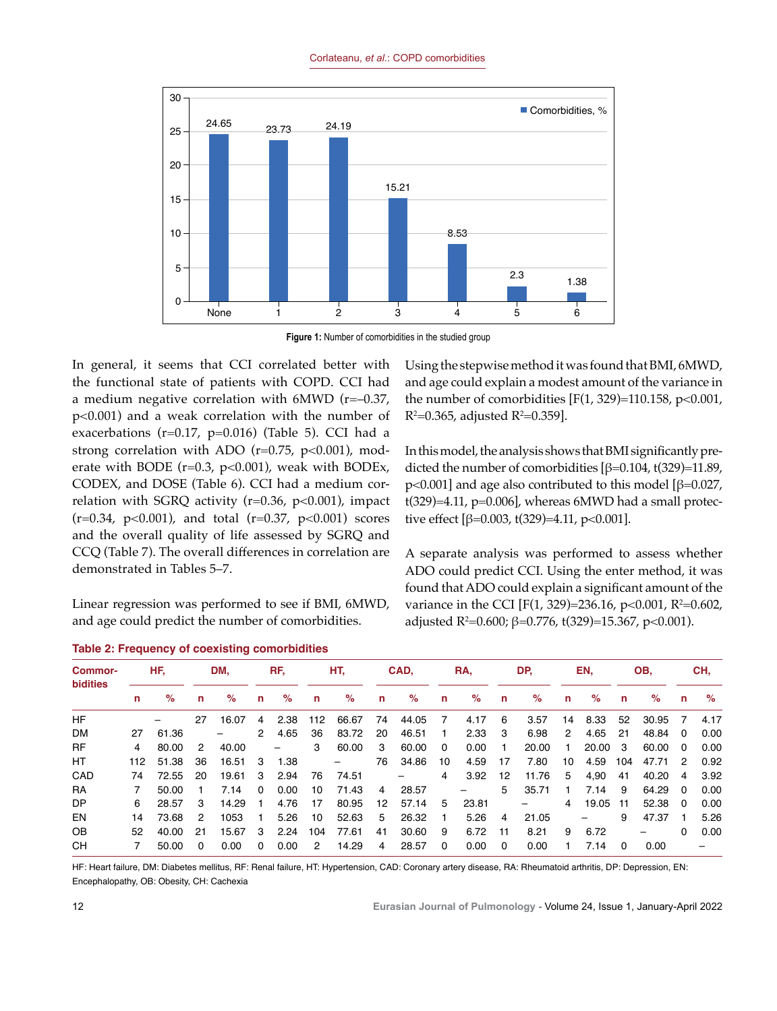

**Figure 1:** Number of comorbidities in the studied group

In general, it seems that CCI correlated better with the functional state of patients with COPD. CCI had a medium negative correlation with 6MWD (r=–0.37, p<0.001) and a weak correlation with the number of exacerbations ( $r=0.17$ ,  $p=0.016$ ) (Table 5). CCI had a strong correlation with ADO ( $r=0.75$ ,  $p<0.001$ ), moderate with BODE ( $r=0.3$ ,  $p<0.001$ ), weak with BODEx, CODEX, and DOSE (Table 6). CCI had a medium correlation with SGRQ activity ( $r=0.36$ ,  $p<0.001$ ), impact  $(r=0.34, p<0.001)$ , and total  $(r=0.37, p<0.001)$  scores and the overall quality of life assessed by SGRQ and CCQ (Table 7). The overall differences in correlation are demonstrated in Tables 5–7.

Linear regression was performed to see if BMI, 6MWD, and age could predict the number of comorbidities.

|  |  |  |  |  |  |  | <b>Table 2: Frequency of coexisting comorbidities</b> |  |  |
|--|--|--|--|--|--|--|-------------------------------------------------------|--|--|
|--|--|--|--|--|--|--|-------------------------------------------------------|--|--|

Using the stepwise method it was found that BMI, 6MWD, and age could explain a modest amount of the variance in the number of comorbidities  $[F(1, 329)=110.158, p<0.001,$ R²=0.365, adjusted R²=0.359].

In this model, the analysis shows that BMI significantly predicted the number of comorbidities [β=0.104, t(329)=11.89, p<0.001] and age also contributed to this model [ $\beta$ =0.027,  $t(329)=4.11$ ,  $p=0.006$ ], whereas 6MWD had a small protective effect [ $\beta$ =0.003, t(329)=4.11, p<0.001].

A separate analysis was performed to assess whether ADO could predict CCI. Using the enter method, it was found that ADO could explain a significant amount of the variance in the CCI [F(1, 329)=236.16, p<0.001, R<sup>2</sup>=0.602, adjusted R2 =0.600; β=0.776, t(329)=15.367, p<0.001).

| <b>Commor-</b><br><b>bidities</b> |     | HF.   |          | DM.   |              | RF.               |                      | HT.   |    | CAD.                     |                | RA.   |          | DP.   |                | EN.                      |          | OB,                      |                | CH.  |  |
|-----------------------------------|-----|-------|----------|-------|--------------|-------------------|----------------------|-------|----|--------------------------|----------------|-------|----------|-------|----------------|--------------------------|----------|--------------------------|----------------|------|--|
|                                   | n   | %     | n        | %     | n            | $\%$              | n                    | %     | n. | %                        | n              | %     | n        | %     | n              | %                        | n        | %                        | n              | %    |  |
| <b>HF</b>                         |     |       | 27       | 16.07 | 4            | 2.38              | 112                  | 66.67 | 74 | 44.05                    | $\overline{7}$ | 4.17  | 6        | 3.57  | 14             | 8.33                     | 52       | 30.95                    | 7              | 4.17 |  |
| <b>DM</b>                         | 27  | 61.36 |          |       | 2            | 4.65              | 36                   | 83.72 | 20 | 46.51                    | $\mathbf{1}$   | 2.33  | -3       | 6.98  | 2              | 4.65                     | 21       | 48.84                    | $\overline{0}$ | 0.00 |  |
| <b>RF</b>                         | 4   | 80.00 | 2        | 40.00 |              | $\qquad \qquad -$ | 3                    | 60.00 | 3  | 60.00                    | $\Omega$       | 0.00  | -1       | 20.00 | 1.             | 20.00                    | -3       | 60.00                    | - 0            | 0.00 |  |
| HT                                | 112 | 51.38 | 36       | 16.51 | -3           | 1.38              |                      | -     | 76 | 34.86                    | 10             | 4.59  | 17       | 7.80  | 10             | 4.59                     | 104      | 47.71                    | $\mathcal{P}$  | 0.92 |  |
| CAD                               | 74  | 72.55 | 20       | 19.61 | 3            | 2.94              | 76                   | 74.51 |    | $\overline{\phantom{0}}$ | 4              | 3.92  | 12       | 11.76 | 5              | 4,90                     | 41       | 40.20                    | 4              | 3.92 |  |
| <b>RA</b>                         |     | 50.00 |          | 7.14  | $\Omega$     | 0.00              | 10                   | 71.43 | 4  | 28.57                    |                | Ξ.    | 5        | 35.71 | $\mathbf{1}$   | 7.14                     | 9        | 64.29                    | $\Omega$       | 0.00 |  |
| DP                                | 6   | 28.57 | -3       | 14.29 | $\mathbf{1}$ | 4.76              | 17                   | 80.95 | 12 | 57.14                    | 5              | 23.81 |          |       | $\overline{4}$ | 19.05                    | 11       | 52.38                    | - 0            | 0.00 |  |
| EN                                | 14  | 73.68 | 2        | 1053  | $\mathbf{1}$ | 5.26              | 10                   | 52.63 | 5  | 26.32                    | $\blacksquare$ | 5.26  | 4        | 21.05 |                | $\overline{\phantom{0}}$ | 9        | 47.37                    | - 1            | 5.26 |  |
| OB.                               | 52  | 40.00 | 21       | 15.67 | 3            | 2.24              | 104                  | 77.61 | 41 | 30.60                    | 9              | 6.72  | 11       | 8.21  | 9              | 6.72                     |          | $\overline{\phantom{0}}$ | 0              | 0.00 |  |
| CН                                |     | 50.00 | $\Omega$ | 0.00  | $\Omega$     | 0.00              | $\mathbf{2}^{\circ}$ | 14.29 | 4  | 28.57                    | $\Omega$       | 0.00  | $\Omega$ | 0.00  |                | 7.14                     | $\Omega$ | 0.00                     |                | -    |  |

HF: Heart failure, DM: Diabetes mellitus, RF: Renal failure, HT: Hypertension, CAD: Coronary artery disease, RA: Rheumatoid arthritis, DP: Depression, EN: Encephalopathy, OB: Obesity, CH: Cachexia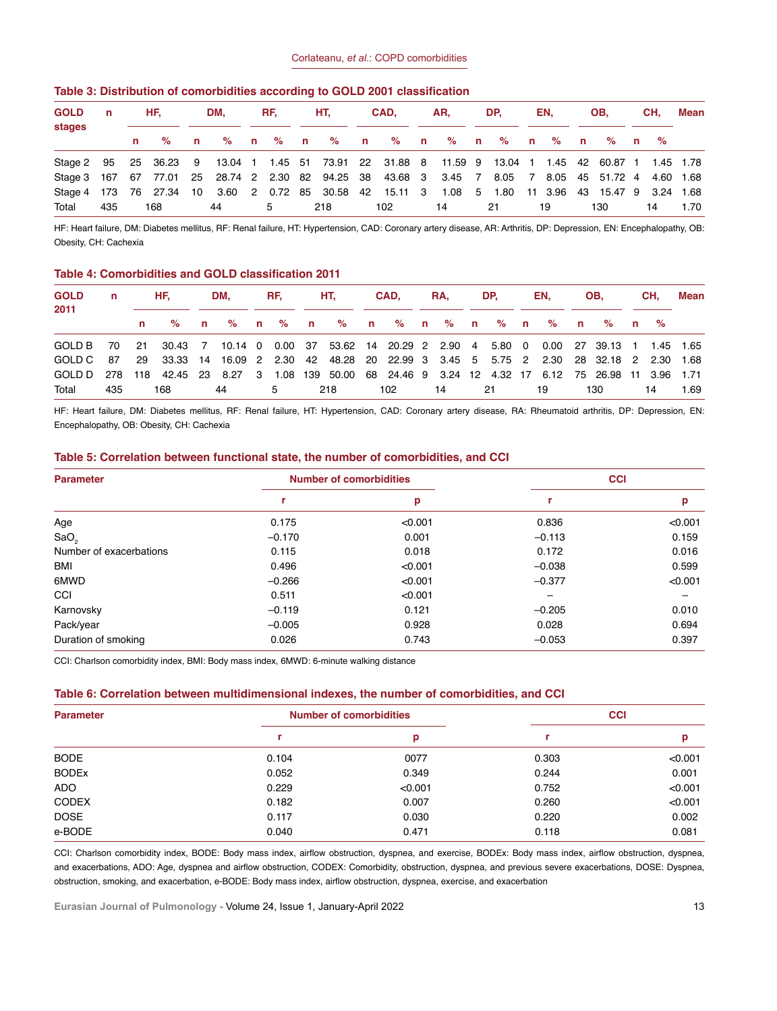| Table 3: Distribution of comorbidities according to GOLD 2001 classification |  |  |  |  |
|------------------------------------------------------------------------------|--|--|--|--|
|------------------------------------------------------------------------------|--|--|--|--|

| <b>GOLD</b><br>stages                                                                            | n   | HF. |              | DM.    | RF. |   | HT. |       | CAD. |                                 | AR. |             | DP. |    | EN. |    | OB. |                              | CH. |    | Mean |
|--------------------------------------------------------------------------------------------------|-----|-----|--------------|--------|-----|---|-----|-------|------|---------------------------------|-----|-------------|-----|----|-----|----|-----|------------------------------|-----|----|------|
|                                                                                                  |     | %   | $\mathsf{n}$ | $\%$ n |     |   |     | % n % |      | n % n % n % n % n % n %         |     |             |     |    |     |    |     |                              |     |    |      |
| Stage 2 95 25 36.23 9 13.04 1 1.45 51 73.91 22 31.88 8 11.59 9 13.04 1 1.45 42 60.87 1 1.45 1.78 |     |     |              |        |     |   |     |       |      |                                 |     |             |     |    |     |    |     |                              |     |    |      |
| Stage 3 167 67 77.01 25 28.74 2 2.30 82 94.25 38 43.68 3 3.45 7 8.05 7 8.05 45 51.72 4 4.60 1.68 |     |     |              |        |     |   |     |       |      |                                 |     |             |     |    |     |    |     |                              |     |    |      |
| Stage 4 173 76 27.34                                                                             |     |     | 10           |        |     |   |     |       |      | 3.60 2 0.72 85 30.58 42 15.11 3 |     | 1.08 5 1.80 |     |    |     |    |     | 11 3.96 43 15.47 9 3.24 1.68 |     |    |      |
| Total                                                                                            | 435 | 168 |              | 44     |     | 5 |     | 218   |      | 102                             |     | 14          |     | 21 |     | 19 |     | 130                          |     | 14 | 1.70 |

HF: Heart failure, DM: Diabetes mellitus, RF: Renal failure, HT: Hypertension, CAD: Coronary artery disease, AR: Arthritis, DP: Depression, EN: Encephalopathy, OB: Obesity, CH: Cachexia

#### **Table 4: Comorbidities and GOLD classification 2011**

| <b>GOLD</b><br>2011                                                                                 | n.  | HF. |                                     |  |    |  |                 | DM. RF. HT. CAD. |                      |  |  | RA, and |  | DP. |  | EN. |  | OB. |  | CH. |    | Mean |
|-----------------------------------------------------------------------------------------------------|-----|-----|-------------------------------------|--|----|--|-----------------|------------------|----------------------|--|--|---------|--|-----|--|-----|--|-----|--|-----|----|------|
|                                                                                                     |     |     | n % n % n % n % n % n % n % n % n % |  |    |  |                 |                  |                      |  |  |         |  |     |  |     |  |     |  |     |    |      |
| GOLD B 70 21 30.43 7 10.14 0 0.00 37 53.62 14 20.29 2 2.90 4 5.80 0 0.00 27 39.13 1 1.45 1.65       |     |     |                                     |  |    |  |                 |                  |                      |  |  |         |  |     |  |     |  |     |  |     |    |      |
| GOLD C 87 29 33.33 14 16.09 2 2.30 42 48.28 20 22.99 3 3.45 5 5.75 2 2.30 28 32.18 2 2.30 1.68      |     |     |                                     |  |    |  |                 |                  |                      |  |  |         |  |     |  |     |  |     |  |     |    |      |
| GOLD D 278 118 42.45 23 8.27 3 1.08 139 50.00 68 24.46 9 3.24 12 4.32 17 6.12 75 26.98 11 3.96 1.71 |     |     |                                     |  |    |  |                 |                  |                      |  |  |         |  |     |  |     |  |     |  |     |    |      |
| Total                                                                                               | 435 |     | 168                                 |  | 44 |  | $5\overline{)}$ |                  | 218 102 14 21 19 130 |  |  |         |  |     |  |     |  |     |  |     | 14 | 1.69 |

HF: Heart failure, DM: Diabetes mellitus, RF: Renal failure, HT: Hypertension, CAD: Coronary artery disease, RA: Rheumatoid arthritis, DP: Depression, EN: Encephalopathy, OB: Obesity, CH: Cachexia

#### **Table 5: Correlation between functional state, the number of comorbidities, and CCI**

| <b>Parameter</b>        |          | <b>Number of comorbidities</b> | <b>CCI</b> |                          |  |  |  |
|-------------------------|----------|--------------------------------|------------|--------------------------|--|--|--|
|                         | r        | p                              |            | р                        |  |  |  |
| Age                     | 0.175    | < 0.001                        | 0.836      | < 0.001                  |  |  |  |
| SaO <sub>2</sub>        | $-0.170$ | 0.001                          | $-0.113$   | 0.159                    |  |  |  |
| Number of exacerbations | 0.115    | 0.018                          | 0.172      | 0.016                    |  |  |  |
| <b>BMI</b>              | 0.496    | < 0.001                        | $-0.038$   | 0.599                    |  |  |  |
| 6MWD                    | $-0.266$ | < 0.001                        | $-0.377$   | < 0.001                  |  |  |  |
| CCI                     | 0.511    | < 0.001                        |            | $\overline{\phantom{0}}$ |  |  |  |
| Karnovsky               | $-0.119$ | 0.121                          | $-0.205$   | 0.010                    |  |  |  |
| Pack/year               | $-0.005$ | 0.928                          | 0.028      | 0.694                    |  |  |  |
| Duration of smoking     | 0.026    | 0.743                          | $-0.053$   | 0.397                    |  |  |  |

CCI: Charlson comorbidity index, BMI: Body mass index, 6MWD: 6-minute walking distance

#### **Table 6: Correlation between multidimensional indexes, the number of comorbidities, and CCI**

| <b>Parameter</b> |       | <b>Number of comorbidities</b> | <b>CCI</b> |         |  |  |
|------------------|-------|--------------------------------|------------|---------|--|--|
|                  |       | р                              |            | р       |  |  |
| <b>BODE</b>      | 0.104 | 0077                           | 0.303      | < 0.001 |  |  |
| <b>BODEX</b>     | 0.052 | 0.349                          | 0.244      | 0.001   |  |  |
| <b>ADO</b>       | 0.229 | < 0.001                        | 0.752      | < 0.001 |  |  |
| <b>CODEX</b>     | 0.182 | 0.007                          | 0.260      | < 0.001 |  |  |
| <b>DOSE</b>      | 0.117 | 0.030                          | 0.220      | 0.002   |  |  |
| e-BODE           | 0.040 | 0.471                          | 0.118      | 0.081   |  |  |

CCI: Charlson comorbidity index, BODE: Body mass index, airflow obstruction, dyspnea, and exercise, BODEx: Body mass index, airflow obstruction, dyspnea, and exacerbations, ADO: Age, dyspnea and airflow obstruction, CODEX: Comorbidity, obstruction, dyspnea, and previous severe exacerbations, DOSE: Dyspnea, obstruction, smoking, and exacerbation, e-BODE: Body mass index, airflow obstruction, dyspnea, exercise, and exacerbation

**Eurasian Journal of Pulmonology - Volume 24, Issue 1, January-April 2022** 13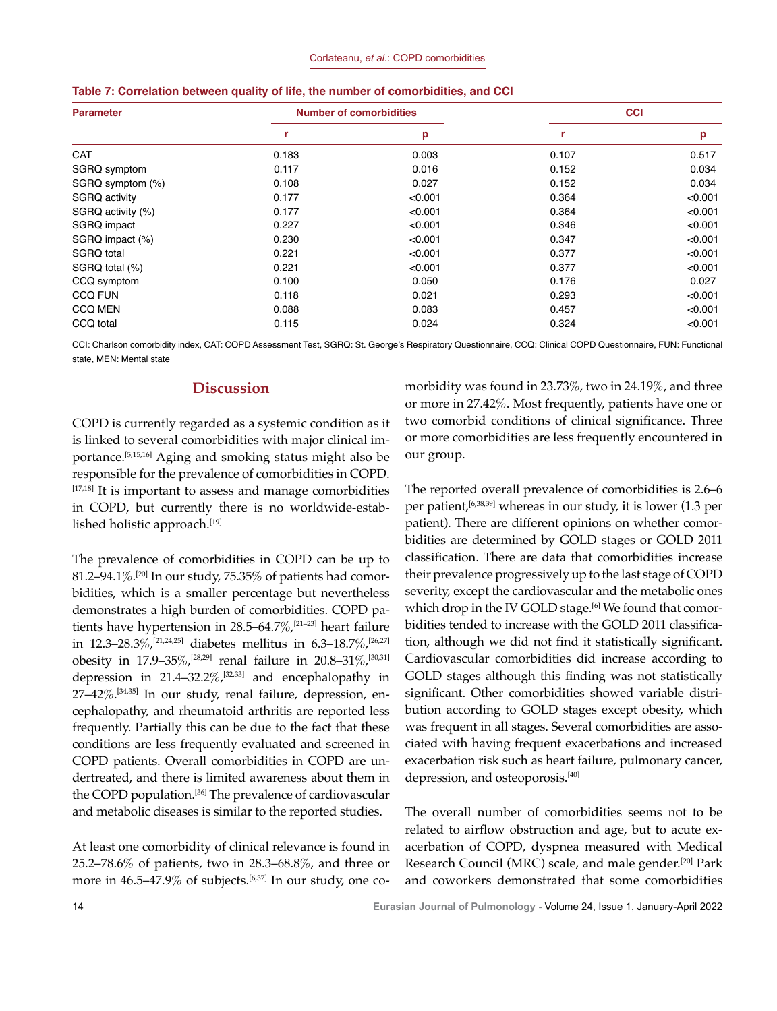| <b>Parameter</b>  |       | <b>Number of comorbidities</b> | <b>CCI</b> |         |  |  |  |
|-------------------|-------|--------------------------------|------------|---------|--|--|--|
|                   | r     | p                              | r          | p       |  |  |  |
| <b>CAT</b>        | 0.183 | 0.003                          | 0.107      | 0.517   |  |  |  |
| SGRQ symptom      | 0.117 | 0.016                          | 0.152      | 0.034   |  |  |  |
| SGRQ symptom (%)  | 0.108 | 0.027                          | 0.152      | 0.034   |  |  |  |
| SGRQ activity     | 0.177 | < 0.001                        | 0.364      | < 0.001 |  |  |  |
| SGRQ activity (%) | 0.177 | < 0.001                        | 0.364      | < 0.001 |  |  |  |
| SGRQ impact       | 0.227 | < 0.001                        | 0.346      | < 0.001 |  |  |  |
| SGRQ impact (%)   | 0.230 | < 0.001                        | 0.347      | < 0.001 |  |  |  |
| SGRQ total        | 0.221 | < 0.001                        | 0.377      | < 0.001 |  |  |  |
| SGRQ total (%)    | 0.221 | < 0.001                        | 0.377      | < 0.001 |  |  |  |
| CCQ symptom       | 0.100 | 0.050                          | 0.176      | 0.027   |  |  |  |
| <b>CCQ FUN</b>    | 0.118 | 0.021                          | 0.293      | < 0.001 |  |  |  |
| <b>CCQ MEN</b>    | 0.088 | 0.083                          | 0.457      | < 0.001 |  |  |  |
| CCQ total         | 0.115 | 0.024                          | 0.324      | < 0.001 |  |  |  |

|  |  |  |  |  |  |  |  |  | Table 7: Correlation between quality of life, the number of comorbidities, and CCI |  |  |
|--|--|--|--|--|--|--|--|--|------------------------------------------------------------------------------------|--|--|
|--|--|--|--|--|--|--|--|--|------------------------------------------------------------------------------------|--|--|

CCI: Charlson comorbidity index, CAT: COPD Assessment Test, SGRQ: St. George's Respiratory Questionnaire, CCQ: Clinical COPD Questionnaire, FUN: Functional state, MEN: Mental state

# **Discussion**

COPD is currently regarded as a systemic condition as it is linked to several comorbidities with major clinical importance.[5,15,16] Aging and smoking status might also be responsible for the prevalence of comorbidities in COPD.  $[17,18]$  It is important to assess and manage comorbidities in COPD, but currently there is no worldwide-established holistic approach.[19]

The prevalence of comorbidities in COPD can be up to 81.2–94.1%.<sup>[20]</sup> In our study, 75.35% of patients had comorbidities, which is a smaller percentage but nevertheless demonstrates a high burden of comorbidities. COPD patients have hypertension in 28.5–64.7%,<sup>[21–23]</sup> heart failure in 12.3–28.3%,<sup>[21,24,25]</sup> diabetes mellitus in 6.3–18.7%,<sup>[26,27]</sup> obesity in 17.9–35%,<sup>[28,29]</sup> renal failure in 20.8–31%,<sup>[30,31]</sup> depression in  $21.4-32.2\%$ ,  $[32,33]$  and encephalopathy in 27–42%.[34,35] In our study, renal failure, depression, encephalopathy, and rheumatoid arthritis are reported less frequently. Partially this can be due to the fact that these conditions are less frequently evaluated and screened in COPD patients. Overall comorbidities in COPD are undertreated, and there is limited awareness about them in the COPD population.<sup>[36]</sup> The prevalence of cardiovascular and metabolic diseases is similar to the reported studies.

At least one comorbidity of clinical relevance is found in 25.2–78.6% of patients, two in 28.3–68.8%, and three or more in  $46.5-47.9\%$  of subjects.<sup>[6,37]</sup> In our study, one comorbidity was found in 23.73%, two in 24.19%, and three or more in 27.42%. Most frequently, patients have one or two comorbid conditions of clinical significance. Three or more comorbidities are less frequently encountered in our group.

The reported overall prevalence of comorbidities is 2.6–6 per patient,<sup>[6,38,39]</sup> whereas in our study, it is lower (1.3 per patient). There are different opinions on whether comorbidities are determined by GOLD stages or GOLD 2011 classification. There are data that comorbidities increase their prevalence progressively up to the last stage of COPD severity, except the cardiovascular and the metabolic ones which drop in the IV GOLD stage.<sup>[6]</sup> We found that comorbidities tended to increase with the GOLD 2011 classification, although we did not find it statistically significant. Cardiovascular comorbidities did increase according to GOLD stages although this finding was not statistically significant. Other comorbidities showed variable distribution according to GOLD stages except obesity, which was frequent in all stages. Several comorbidities are associated with having frequent exacerbations and increased exacerbation risk such as heart failure, pulmonary cancer, depression, and osteoporosis.[40]

The overall number of comorbidities seems not to be related to airflow obstruction and age, but to acute exacerbation of COPD, dyspnea measured with Medical Research Council (MRC) scale, and male gender.[20] Park and coworkers demonstrated that some comorbidities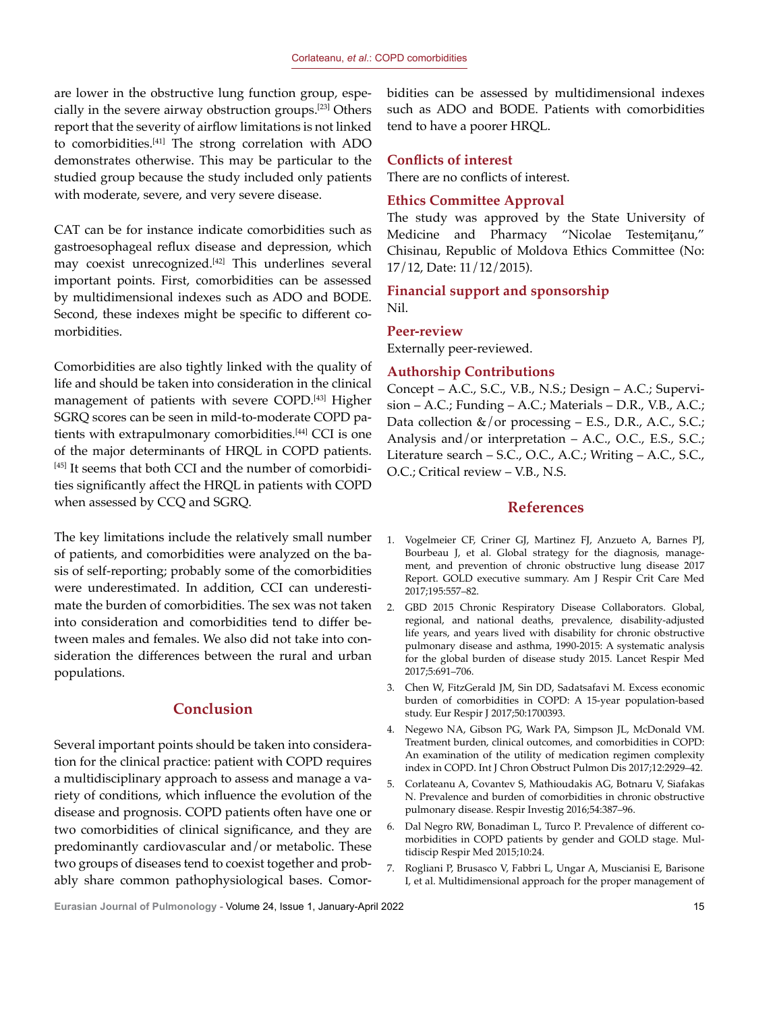are lower in the obstructive lung function group, especially in the severe airway obstruction groups.[23] Others report that the severity of airflow limitations is not linked to comorbidities.[41] The strong correlation with ADO demonstrates otherwise. This may be particular to the studied group because the study included only patients with moderate, severe, and very severe disease.

CAT can be for instance indicate comorbidities such as gastroesophageal reflux disease and depression, which may coexist unrecognized.<sup>[42]</sup> This underlines several important points. First, comorbidities can be assessed by multidimensional indexes such as ADO and BODE. Second, these indexes might be specific to different comorbidities.

Comorbidities are also tightly linked with the quality of life and should be taken into consideration in the clinical management of patients with severe COPD.<sup>[43]</sup> Higher SGRQ scores can be seen in mild-to-moderate COPD patients with extrapulmonary comorbidities.[44] CCI is one of the major determinants of HRQL in COPD patients. [45] It seems that both CCI and the number of comorbidities significantly affect the HRQL in patients with COPD when assessed by CCQ and SGRQ.

The key limitations include the relatively small number of patients, and comorbidities were analyzed on the basis of self-reporting; probably some of the comorbidities were underestimated. In addition, CCI can underestimate the burden of comorbidities. The sex was not taken into consideration and comorbidities tend to differ between males and females. We also did not take into consideration the differences between the rural and urban populations.

# **Conclusion**

Several important points should be taken into consideration for the clinical practice: patient with COPD requires a multidisciplinary approach to assess and manage a variety of conditions, which influence the evolution of the disease and prognosis. COPD patients often have one or two comorbidities of clinical significance, and they are predominantly cardiovascular and/or metabolic. These two groups of diseases tend to coexist together and probably share common pathophysiological bases. Comorbidities can be assessed by multidimensional indexes such as ADO and BODE. Patients with comorbidities tend to have a poorer HRQL.

#### **Conflicts of interest**

There are no conflicts of interest.

#### **Ethics Committee Approval**

The study was approved by the State University of Medicine and Pharmacy "Nicolae Testemiţanu," Chisinau, Republic of Moldova Ethics Committee (No: 17/12, Date: 11/12/2015).

# **Financial support and sponsorship** Nil.

#### **Peer-review**

Externally peer-reviewed.

#### **Authorship Contributions**

Concept – A.C., S.C., V.B., N.S.; Design – A.C.; Supervision – A.C.; Funding – A.C.; Materials – D.R., V.B., A.C.; Data collection &/or processing – E.S., D.R., A.C., S.C.; Analysis and/or interpretation – A.C., O.C., E.S., S.C.; Literature search – S.C., O.C., A.C.; Writing – A.C., S.C., O.C.; Critical review – V.B., N.S.

# **References**

- 1. Vogelmeier CF, Criner GJ, Martinez FJ, Anzueto A, Barnes PJ, Bourbeau J, et al. Global strategy for the diagnosis, management, and prevention of chronic obstructive lung disease 2017 Report. GOLD executive summary. Am J Respir Crit Care Med 2017;195:557–82.
- 2. GBD 2015 Chronic Respiratory Disease Collaborators. Global, regional, and national deaths, prevalence, disability-adjusted life years, and years lived with disability for chronic obstructive pulmonary disease and asthma, 1990-2015: A systematic analysis for the global burden of disease study 2015. Lancet Respir Med 2017;5:691–706.
- 3. Chen W, FitzGerald JM, Sin DD, Sadatsafavi M. Excess economic burden of comorbidities in COPD: A 15-year population-based study. Eur Respir J 2017;50:1700393.
- 4. Negewo NA, Gibson PG, Wark PA, Simpson JL, McDonald VM. Treatment burden, clinical outcomes, and comorbidities in COPD: An examination of the utility of medication regimen complexity index in COPD. Int J Chron Obstruct Pulmon Dis 2017;12:2929–42.
- 5. Corlateanu A, Covantev S, Mathioudakis AG, Botnaru V, Siafakas N. Prevalence and burden of comorbidities in chronic obstructive pulmonary disease. Respir Investig 2016;54:387–96.
- 6. Dal Negro RW, Bonadiman L, Turco P. Prevalence of different comorbidities in COPD patients by gender and GOLD stage. Multidiscip Respir Med 2015;10:24.
- 7. Rogliani P, Brusasco V, Fabbri L, Ungar A, Muscianisi E, Barisone I, et al. Multidimensional approach for the proper management of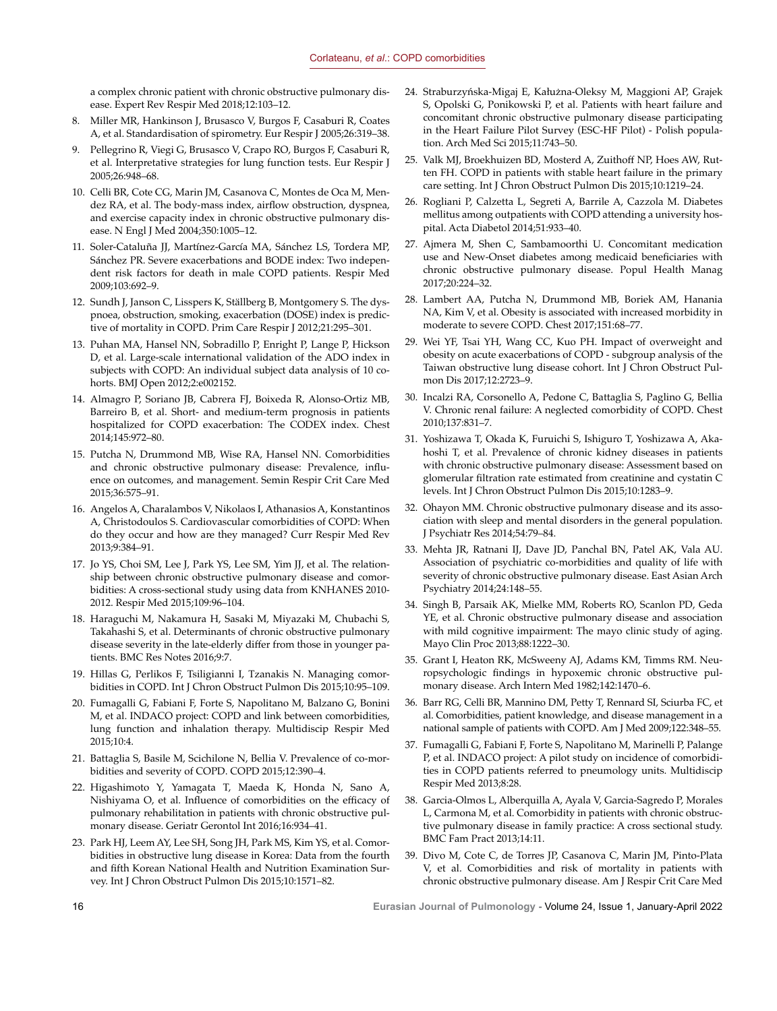a complex chronic patient with chronic obstructive pulmonary disease. Expert Rev Respir Med 2018;12:103–12.

- 8. Miller MR, Hankinson J, Brusasco V, Burgos F, Casaburi R, Coates A, et al. Standardisation of spirometry. Eur Respir J 2005;26:319–38.
- 9. Pellegrino R, Viegi G, Brusasco V, Crapo RO, Burgos F, Casaburi R, et al. Interpretative strategies for lung function tests. Eur Respir J 2005;26:948–68.
- 10. Celli BR, Cote CG, Marin JM, Casanova C, Montes de Oca M, Mendez RA, et al. The body-mass index, airflow obstruction, dyspnea, and exercise capacity index in chronic obstructive pulmonary disease. N Engl J Med 2004;350:1005–12.
- 11. Soler-Cataluña JJ, Martínez-García MA, Sánchez LS, Tordera MP, Sánchez PR. Severe exacerbations and BODE index: Two independent risk factors for death in male COPD patients. Respir Med 2009;103:692–9.
- 12. Sundh J, Janson C, Lisspers K, Ställberg B, Montgomery S. The dyspnoea, obstruction, smoking, exacerbation (DOSE) index is predictive of mortality in COPD. Prim Care Respir J 2012;21:295–301.
- 13. Puhan MA, Hansel NN, Sobradillo P, Enright P, Lange P, Hickson D, et al. Large-scale international validation of the ADO index in subjects with COPD: An individual subject data analysis of 10 cohorts. BMJ Open 2012;2:e002152.
- 14. Almagro P, Soriano JB, Cabrera FJ, Boixeda R, Alonso-Ortiz MB, Barreiro B, et al. Short- and medium-term prognosis in patients hospitalized for COPD exacerbation: The CODEX index. Chest 2014;145:972–80.
- 15. Putcha N, Drummond MB, Wise RA, Hansel NN. Comorbidities and chronic obstructive pulmonary disease: Prevalence, influence on outcomes, and management. Semin Respir Crit Care Med 2015;36:575–91.
- 16. Angelos A, Charalambos V, Nikolaos I, Athanasios A, Konstantinos A, Christodoulos S. Cardiovascular comorbidities of COPD: When do they occur and how are they managed? Curr Respir Med Rev 2013;9:384–91.
- 17. Jo YS, Choi SM, Lee J, Park YS, Lee SM, Yim JJ, et al. The relationship between chronic obstructive pulmonary disease and comorbidities: A cross-sectional study using data from KNHANES 2010- 2012. Respir Med 2015;109:96–104.
- 18. Haraguchi M, Nakamura H, Sasaki M, Miyazaki M, Chubachi S, Takahashi S, et al. Determinants of chronic obstructive pulmonary disease severity in the late-elderly differ from those in younger patients. BMC Res Notes 2016;9:7.
- 19. Hillas G, Perlikos F, Tsiligianni I, Tzanakis N. Managing comorbidities in COPD. Int J Chron Obstruct Pulmon Dis 2015;10:95–109.
- 20. Fumagalli G, Fabiani F, Forte S, Napolitano M, Balzano G, Bonini M, et al. INDACO project: COPD and link between comorbidities, lung function and inhalation therapy. Multidiscip Respir Med 2015;10:4.
- 21. Battaglia S, Basile M, Scichilone N, Bellia V. Prevalence of co-morbidities and severity of COPD. COPD 2015;12:390–4.
- 22. Higashimoto Y, Yamagata T, Maeda K, Honda N, Sano A, Nishiyama O, et al. Influence of comorbidities on the efficacy of pulmonary rehabilitation in patients with chronic obstructive pulmonary disease. Geriatr Gerontol Int 2016;16:934–41.
- 23. Park HJ, Leem AY, Lee SH, Song JH, Park MS, Kim YS, et al. Comorbidities in obstructive lung disease in Korea: Data from the fourth and fifth Korean National Health and Nutrition Examination Survey. Int J Chron Obstruct Pulmon Dis 2015;10:1571–82.
- 24. Straburzyńska-Migaj E, Kałużna-Oleksy M, Maggioni AP, Grajek S, Opolski G, Ponikowski P, et al. Patients with heart failure and concomitant chronic obstructive pulmonary disease participating in the Heart Failure Pilot Survey (ESC-HF Pilot) - Polish population. Arch Med Sci 2015;11:743–50.
- 25. Valk MJ, Broekhuizen BD, Mosterd A, Zuithoff NP, Hoes AW, Rutten FH. COPD in patients with stable heart failure in the primary care setting. Int J Chron Obstruct Pulmon Dis 2015;10:1219–24.
- 26. Rogliani P, Calzetta L, Segreti A, Barrile A, Cazzola M. Diabetes mellitus among outpatients with COPD attending a university hospital. Acta Diabetol 2014;51:933–40.
- 27. Ajmera M, Shen C, Sambamoorthi U. Concomitant medication use and New-Onset diabetes among medicaid beneficiaries with chronic obstructive pulmonary disease. Popul Health Manag 2017;20:224–32.
- 28. Lambert AA, Putcha N, Drummond MB, Boriek AM, Hanania NA, Kim V, et al. Obesity is associated with increased morbidity in moderate to severe COPD. Chest 2017;151:68–77.
- 29. Wei YF, Tsai YH, Wang CC, Kuo PH. Impact of overweight and obesity on acute exacerbations of COPD - subgroup analysis of the Taiwan obstructive lung disease cohort. Int J Chron Obstruct Pulmon Dis 2017;12:2723–9.
- 30. Incalzi RA, Corsonello A, Pedone C, Battaglia S, Paglino G, Bellia V. Chronic renal failure: A neglected comorbidity of COPD. Chest 2010;137:831–7.
- 31. Yoshizawa T, Okada K, Furuichi S, Ishiguro T, Yoshizawa A, Akahoshi T, et al. Prevalence of chronic kidney diseases in patients with chronic obstructive pulmonary disease: Assessment based on glomerular filtration rate estimated from creatinine and cystatin C levels. Int J Chron Obstruct Pulmon Dis 2015;10:1283–9.
- 32. Ohayon MM. Chronic obstructive pulmonary disease and its association with sleep and mental disorders in the general population. J Psychiatr Res 2014;54:79–84.
- 33. Mehta JR, Ratnani IJ, Dave JD, Panchal BN, Patel AK, Vala AU. Association of psychiatric co-morbidities and quality of life with severity of chronic obstructive pulmonary disease. East Asian Arch Psychiatry 2014;24:148–55.
- 34. Singh B, Parsaik AK, Mielke MM, Roberts RO, Scanlon PD, Geda YE, et al. Chronic obstructive pulmonary disease and association with mild cognitive impairment: The mayo clinic study of aging. Mayo Clin Proc 2013;88:1222–30.
- 35. Grant I, Heaton RK, McSweeny AJ, Adams KM, Timms RM. Neuropsychologic findings in hypoxemic chronic obstructive pulmonary disease. Arch Intern Med 1982;142:1470–6.
- 36. Barr RG, Celli BR, Mannino DM, Petty T, Rennard SI, Sciurba FC, et al. Comorbidities, patient knowledge, and disease management in a national sample of patients with COPD. Am J Med 2009;122:348–55.
- 37. Fumagalli G, Fabiani F, Forte S, Napolitano M, Marinelli P, Palange P, et al. INDACO project: A pilot study on incidence of comorbidities in COPD patients referred to pneumology units. Multidiscip Respir Med 2013;8:28.
- 38. Garcia-Olmos L, Alberquilla A, Ayala V, Garcia-Sagredo P, Morales L, Carmona M, et al. Comorbidity in patients with chronic obstructive pulmonary disease in family practice: A cross sectional study. BMC Fam Pract 2013;14:11.
- 39. Divo M, Cote C, de Torres JP, Casanova C, Marin JM, Pinto-Plata V, et al. Comorbidities and risk of mortality in patients with chronic obstructive pulmonary disease. Am J Respir Crit Care Med

16 **Eurasian Journal of Pulmonology -** Volume 24, Issue 1, January-April 2022